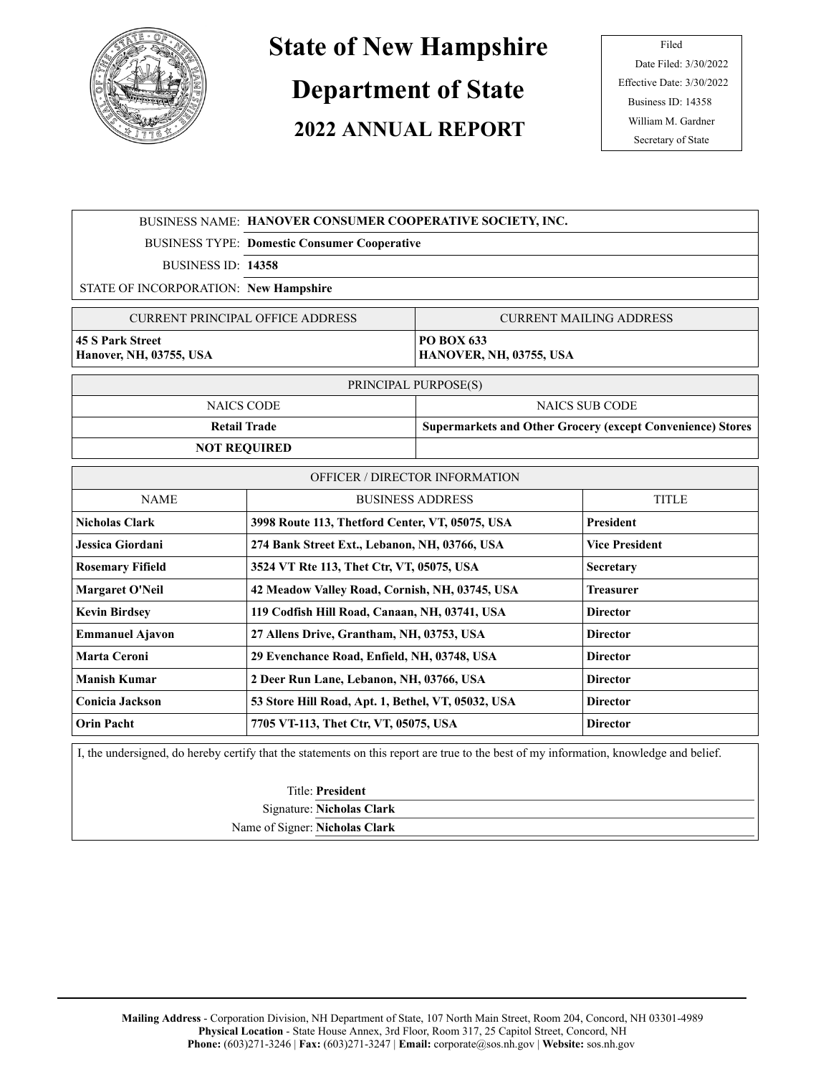

## **State of New Hampshire**

## **Department of State**

## **2022 ANNUAL REPORT**

Filed Date Filed: 3/30/2022 Effective Date: 3/30/2022 Business ID: 14358 William M. Gardner Secretary of State

|                                                                                                                                     | BUSINESS NAME: HANOVER CONSUMER COOPERATIVE SOCIETY, INC.             |                                                                   |                       |  |
|-------------------------------------------------------------------------------------------------------------------------------------|-----------------------------------------------------------------------|-------------------------------------------------------------------|-----------------------|--|
|                                                                                                                                     | <b>BUSINESS TYPE: Domestic Consumer Cooperative</b>                   |                                                                   |                       |  |
| BUSINESS ID: 14358                                                                                                                  |                                                                       |                                                                   |                       |  |
| STATE OF INCORPORATION: New Hampshire                                                                                               |                                                                       |                                                                   |                       |  |
| <b>CURRENT PRINCIPAL OFFICE ADDRESS</b>                                                                                             |                                                                       | <b>CURRENT MAILING ADDRESS</b>                                    |                       |  |
| <b>45 S Park Street</b><br>Hanover, NH, 03755, USA                                                                                  |                                                                       | PO BOX 633<br>HANOVER, NH, 03755, USA                             |                       |  |
| PRINCIPAL PURPOSE(S)                                                                                                                |                                                                       |                                                                   |                       |  |
| <b>NAICS CODE</b>                                                                                                                   |                                                                       | <b>NAICS SUB CODE</b>                                             |                       |  |
| <b>Retail Trade</b>                                                                                                                 |                                                                       | <b>Supermarkets and Other Grocery (except Convenience) Stores</b> |                       |  |
| <b>NOT REQUIRED</b>                                                                                                                 |                                                                       |                                                                   |                       |  |
| <b>OFFICER / DIRECTOR INFORMATION</b>                                                                                               |                                                                       |                                                                   |                       |  |
| <b>NAME</b>                                                                                                                         | <b>BUSINESS ADDRESS</b>                                               |                                                                   | <b>TITLE</b>          |  |
| <b>Nicholas Clark</b>                                                                                                               | 3998 Route 113, Thetford Center, VT, 05075, USA                       |                                                                   | President             |  |
| Jessica Giordani                                                                                                                    | 274 Bank Street Ext., Lebanon, NH, 03766, USA                         |                                                                   | <b>Vice President</b> |  |
| <b>Rosemary Fifield</b>                                                                                                             | 3524 VT Rte 113, Thet Ctr, VT, 05075, USA                             |                                                                   | Secretary             |  |
| Margaret O'Neil                                                                                                                     | 42 Meadow Valley Road, Cornish, NH, 03745, USA                        |                                                                   | <b>Treasurer</b>      |  |
| <b>Kevin Birdsey</b>                                                                                                                | 119 Codfish Hill Road, Canaan, NH, 03741, USA                         |                                                                   | <b>Director</b>       |  |
| <b>Emmanuel Ajavon</b>                                                                                                              | 27 Allens Drive, Grantham, NH, 03753, USA                             |                                                                   | <b>Director</b>       |  |
| <b>Marta Ceroni</b>                                                                                                                 | 29 Evenchance Road, Enfield, NH, 03748, USA                           |                                                                   | <b>Director</b>       |  |
| <b>Manish Kumar</b>                                                                                                                 | 2 Deer Run Lane, Lebanon, NH, 03766, USA                              |                                                                   | <b>Director</b>       |  |
| <b>Conicia Jackson</b>                                                                                                              | 53 Store Hill Road, Apt. 1, Bethel, VT, 05032, USA<br><b>Director</b> |                                                                   |                       |  |
| <b>Orin Pacht</b>                                                                                                                   | 7705 VT-113, Thet Ctr, VT, 05075, USA                                 |                                                                   | <b>Director</b>       |  |
| I the underground do hereby earlify that the statements on this report are true to the best of my information lenguladge and heliof |                                                                       |                                                                   |                       |  |

I, the undersigned, do hereby certify that the statements on this report are true to the best of my information, knowledge and belief.

Title: **President** Signature: **Nicholas Clark**

Name of Signer: **Nicholas Clark**